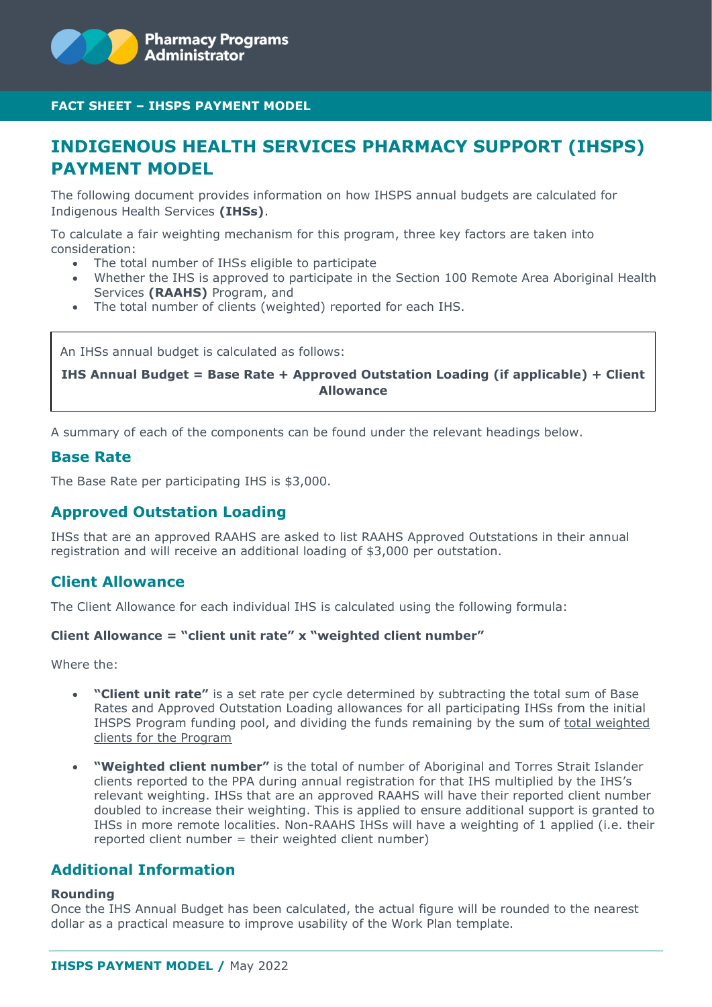

# **INDIGENOUS HEALTH SERVICES PHARMACY SUPPORT (IHSPS) PAYMENT MODEL**

The following document provides information on how IHSPS annual budgets are calculated for Indigenous Health Services **(IHSs)**.

To calculate a fair weighting mechanism for this program, three key factors are taken into consideration:

- The total number of IHSs eligible to participate
- Whether the IHS is approved to participate in the Section 100 Remote Area Aboriginal Health Services **(RAAHS)** Program, and
- The total number of clients (weighted) reported for each IHS.

An IHSs annual budget is calculated as follows:

**IHS Annual Budget = Base Rate + Approved Outstation Loading (if applicable) + Client Allowance**

A summary of each of the components can be found under the relevant headings below.

#### **Base Rate**

The Base Rate per participating IHS is \$3,000.

# **Approved Outstation Loading**

IHSs that are an approved RAAHS are asked to list RAAHS Approved Outstations in their annual registration and will receive an additional loading of \$3,000 per outstation.

### **Client Allowance**

The Client Allowance for each individual IHS is calculated using the following formula:

#### **Client Allowance = "client unit rate" x "weighted client number"**

Where the:

- **"Client unit rate"** is a set rate per cycle determined by subtracting the total sum of Base Rates and Approved Outstation Loading allowances for all participating IHSs from the initial IHSPS Program funding pool, and dividing the funds remaining by the sum of total weighted clients for the Program
- **"Weighted client number"** is the total of number of Aboriginal and Torres Strait Islander clients reported to the PPA during annual registration for that IHS multiplied by the IHS's relevant weighting. IHSs that are an approved RAAHS will have their reported client number doubled to increase their weighting. This is applied to ensure additional support is granted to IHSs in more remote localities. Non-RAAHS IHSs will have a weighting of 1 applied (i.e. their reported client number = their weighted client number)

### **Additional Information**

#### **Rounding**

Once the IHS Annual Budget has been calculated, the actual figure will be rounded to the nearest dollar as a practical measure to improve usability of the Work Plan template.